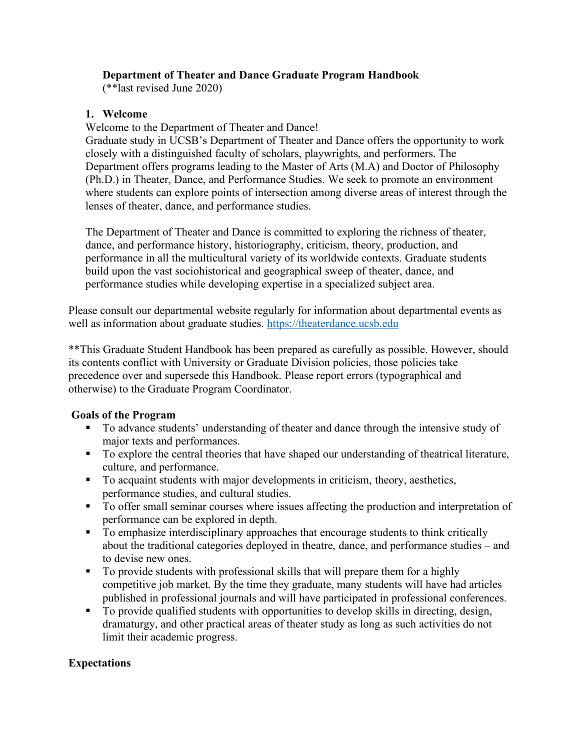## **Department of Theater and Dance Graduate Program Handbook**

(\*\*last revised June 2020)

## **1. Welcome**

Welcome to the Department of Theater and Dance!

Graduate study in UCSB's Department of Theater and Dance offers the opportunity to work closely with a distinguished faculty of scholars, playwrights, and performers. The Department offers programs leading to the Master of Arts (M.A) and Doctor of Philosophy (Ph.D.) in Theater, Dance, and Performance Studies. We seek to promote an environment where students can explore points of intersection among diverse areas of interest through the lenses of theater, dance, and performance studies.

The Department of Theater and Dance is committed to exploring the richness of theater, dance, and performance history, historiography, criticism, theory, production, and performance in all the multicultural variety of its worldwide contexts. Graduate students build upon the vast sociohistorical and geographical sweep of theater, dance, and performance studies while developing expertise in a specialized subject area.

Please consult our departmental website regularly for information about departmental events as well as information about graduate studies. https://theaterdance.ucsb.edu

\*\*This Graduate Student Handbook has been prepared as carefully as possible. However, should its contents conflict with University or Graduate Division policies, those policies take precedence over and supersede this Handbook. Please report errors (typographical and otherwise) to the Graduate Program Coordinator.

## **Goals of the Program**

- § To advance students' understanding of theater and dance through the intensive study of major texts and performances.
- To explore the central theories that have shaped our understanding of theatrical literature, culture, and performance.
- To acquaint students with major developments in criticism, theory, aesthetics, performance studies, and cultural studies.
- To offer small seminar courses where issues affecting the production and interpretation of performance can be explored in depth.
- To emphasize interdisciplinary approaches that encourage students to think critically about the traditional categories deployed in theatre, dance, and performance studies – and to devise new ones.
- § To provide students with professional skills that will prepare them for a highly competitive job market. By the time they graduate, many students will have had articles published in professional journals and will have participated in professional conferences.
- To provide qualified students with opportunities to develop skills in directing, design, dramaturgy, and other practical areas of theater study as long as such activities do not limit their academic progress.

## **Expectations**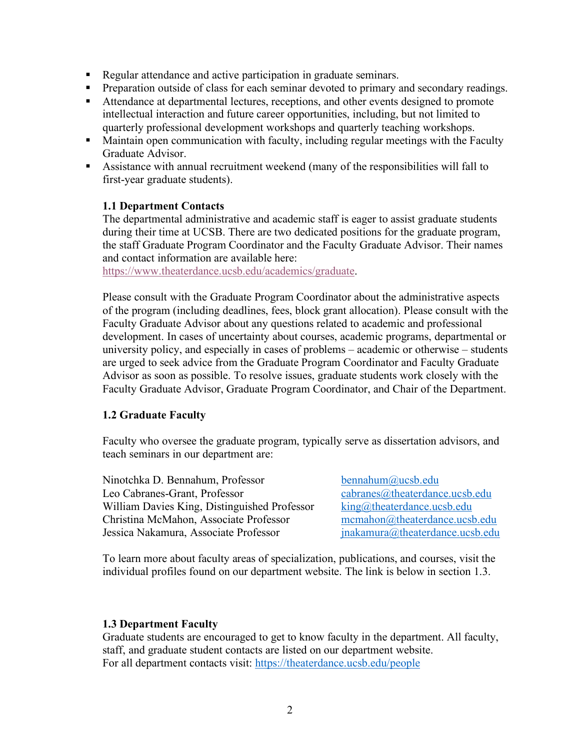- Regular attendance and active participation in graduate seminars.
- Preparation outside of class for each seminar devoted to primary and secondary readings.
- Attendance at departmental lectures, receptions, and other events designed to promote intellectual interaction and future career opportunities, including, but not limited to quarterly professional development workshops and quarterly teaching workshops.
- Maintain open communication with faculty, including regular meetings with the Faculty Graduate Advisor.
- § Assistance with annual recruitment weekend (many of the responsibilities will fall to first-year graduate students).

## **1.1 Department Contacts**

The departmental administrative and academic staff is eager to assist graduate students during their time at UCSB. There are two dedicated positions for the graduate program, the staff Graduate Program Coordinator and the Faculty Graduate Advisor. Their names and contact information are available here:

https://www.theaterdance.ucsb.edu/academics/graduate.

Please consult with the Graduate Program Coordinator about the administrative aspects of the program (including deadlines, fees, block grant allocation). Please consult with the Faculty Graduate Advisor about any questions related to academic and professional development. In cases of uncertainty about courses, academic programs, departmental or university policy, and especially in cases of problems – academic or otherwise – students are urged to seek advice from the Graduate Program Coordinator and Faculty Graduate Advisor as soon as possible. To resolve issues, graduate students work closely with the Faculty Graduate Advisor, Graduate Program Coordinator, and Chair of the Department.

## **1.2 Graduate Faculty**

Faculty who oversee the graduate program, typically serve as dissertation advisors, and teach seminars in our department are:

Ninotchka D. Bennahum, Professor bennahum@ucsb.edu Leo Cabranes-Grant, Professor cabranes@theaterdance.ucsb.edu William Davies King, Distinguished Professor king@theaterdance.ucsb.edu Christina McMahon, Associate Professor mcmahon@theaterdance.ucsb.edu Jessica Nakamura, Associate Professor jnakamura@theaterdance.ucsb.edu

To learn more about faculty areas of specialization, publications, and courses, visit the individual profiles found on our department website. The link is below in section 1.3.

### **1.3 Department Faculty**

Graduate students are encouraged to get to know faculty in the department. All faculty, staff, and graduate student contacts are listed on our department website. For all department contacts visit: https://theaterdance.ucsb.edu/people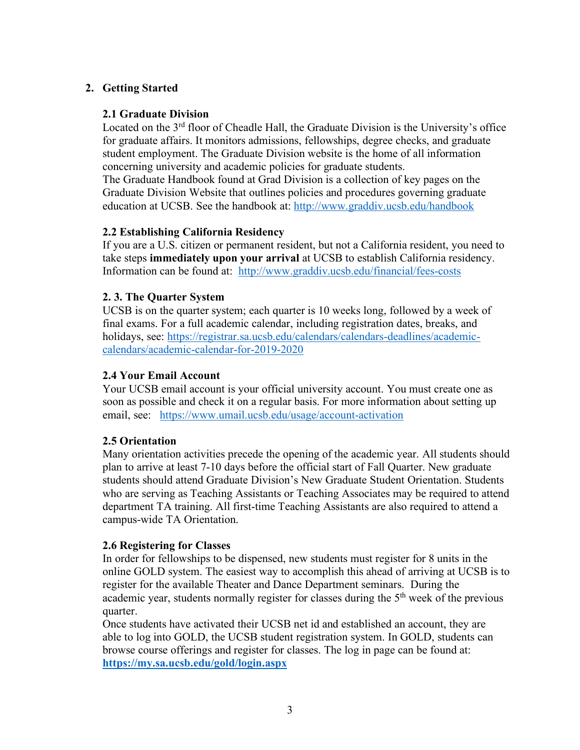## **2. Getting Started**

### **2.1 Graduate Division**

Located on the 3<sup>rd</sup> floor of Cheadle Hall, the Graduate Division is the University's office for graduate affairs. It monitors admissions, fellowships, degree checks, and graduate student employment. The Graduate Division website is the home of all information concerning university and academic policies for graduate students.

The Graduate Handbook found at Grad Division is a collection of key pages on the Graduate Division Website that outlines policies and procedures governing graduate education at UCSB. See the handbook at: http://www.graddiv.ucsb.edu/handbook

## **2.2 Establishing California Residency**

If you are a U.S. citizen or permanent resident, but not a California resident, you need to take steps **immediately upon your arrival** at UCSB to establish California residency. Information can be found at: http://www.graddiv.ucsb.edu/financial/fees-costs

### **2. 3. The Quarter System**

UCSB is on the quarter system; each quarter is 10 weeks long, followed by a week of final exams. For a full academic calendar, including registration dates, breaks, and holidays, see: https://registrar.sa.ucsb.edu/calendars/calendars-deadlines/academiccalendars/academic-calendar-for-2019-2020

### **2.4 Your Email Account**

Your UCSB email account is your official university account. You must create one as soon as possible and check it on a regular basis. For more information about setting up email, see: https://www.umail.ucsb.edu/usage/account-activation

## **2.5 Orientation**

Many orientation activities precede the opening of the academic year. All students should plan to arrive at least 7-10 days before the official start of Fall Quarter. New graduate students should attend Graduate Division's New Graduate Student Orientation. Students who are serving as Teaching Assistants or Teaching Associates may be required to attend department TA training. All first-time Teaching Assistants are also required to attend a campus-wide TA Orientation.

### **2.6 Registering for Classes**

In order for fellowships to be dispensed, new students must register for 8 units in the online GOLD system. The easiest way to accomplish this ahead of arriving at UCSB is to register for the available Theater and Dance Department seminars. During the academic year, students normally register for classes during the  $5<sup>th</sup>$  week of the previous quarter.

Once students have activated their UCSB net id and established an account, they are able to log into GOLD, the UCSB student registration system. In GOLD, students can browse course offerings and register for classes. The log in page can be found at: **https://my.sa.ucsb.edu/gold/login.aspx**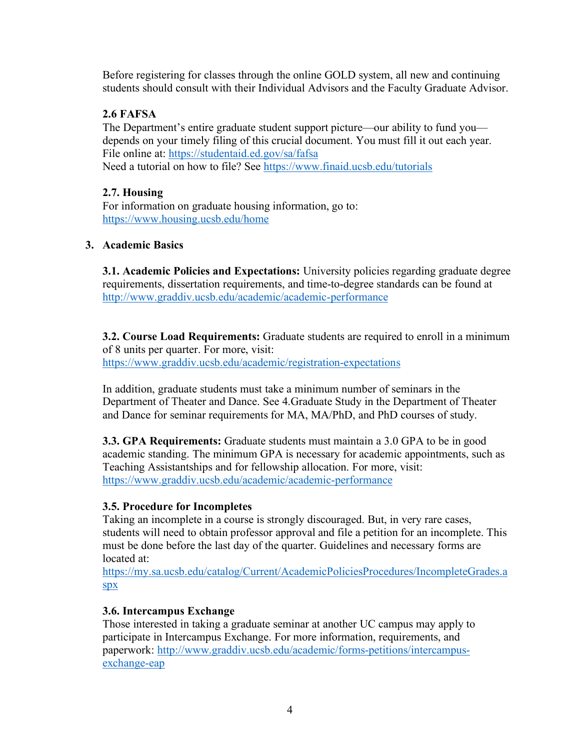Before registering for classes through the online GOLD system, all new and continuing students should consult with their Individual Advisors and the Faculty Graduate Advisor.

## **2.6 FAFSA**

The Department's entire graduate student support picture—our ability to fund you depends on your timely filing of this crucial document. You must fill it out each year. File online at: https://studentaid.ed.gov/sa/fafsa Need a tutorial on how to file? See https://www.finaid.ucsb.edu/tutorials

## **2.7. Housing**

For information on graduate housing information, go to: https://www.housing.ucsb.edu/home

## **3. Academic Basics**

**3.1. Academic Policies and Expectations:** University policies regarding graduate degree requirements, dissertation requirements, and time-to-degree standards can be found at http://www.graddiv.ucsb.edu/academic/academic-performance

**3.2. Course Load Requirements:** Graduate students are required to enroll in a minimum of 8 units per quarter. For more, visit: https://www.graddiv.ucsb.edu/academic/registration-expectations

In addition, graduate students must take a minimum number of seminars in the Department of Theater and Dance. See 4.Graduate Study in the Department of Theater and Dance for seminar requirements for MA, MA/PhD, and PhD courses of study.

**3.3. GPA Requirements:** Graduate students must maintain a 3.0 GPA to be in good academic standing. The minimum GPA is necessary for academic appointments, such as Teaching Assistantships and for fellowship allocation. For more, visit: https://www.graddiv.ucsb.edu/academic/academic-performance

## **3.5. Procedure for Incompletes**

Taking an incomplete in a course is strongly discouraged. But, in very rare cases, students will need to obtain professor approval and file a petition for an incomplete. This must be done before the last day of the quarter. Guidelines and necessary forms are located at:

https://my.sa.ucsb.edu/catalog/Current/AcademicPoliciesProcedures/IncompleteGrades.a spx

## **3.6. Intercampus Exchange**

Those interested in taking a graduate seminar at another UC campus may apply to participate in Intercampus Exchange. For more information, requirements, and paperwork: http://www.graddiv.ucsb.edu/academic/forms-petitions/intercampusexchange-eap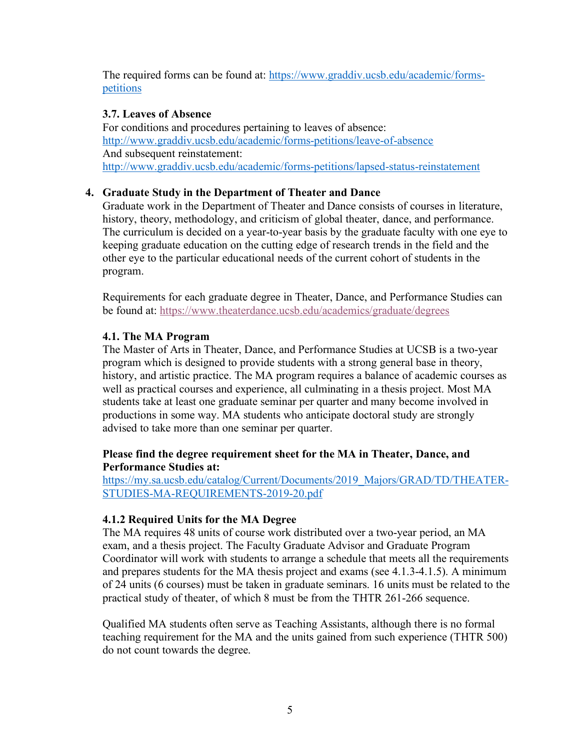The required forms can be found at: https://www.graddiv.ucsb.edu/academic/formspetitions

### **3.7. Leaves of Absence**

For conditions and procedures pertaining to leaves of absence: http://www.graddiv.ucsb.edu/academic/forms-petitions/leave-of-absence And subsequent reinstatement: http://www.graddiv.ucsb.edu/academic/forms-petitions/lapsed-status-reinstatement

## **4. Graduate Study in the Department of Theater and Dance**

Graduate work in the Department of Theater and Dance consists of courses in literature, history, theory, methodology, and criticism of global theater, dance, and performance. The curriculum is decided on a year-to-year basis by the graduate faculty with one eye to keeping graduate education on the cutting edge of research trends in the field and the other eye to the particular educational needs of the current cohort of students in the program.

Requirements for each graduate degree in Theater, Dance, and Performance Studies can be found at: https://www.theaterdance.ucsb.edu/academics/graduate/degrees

## **4.1. The MA Program**

The Master of Arts in Theater, Dance, and Performance Studies at UCSB is a two-year program which is designed to provide students with a strong general base in theory, history, and artistic practice. The MA program requires a balance of academic courses as well as practical courses and experience, all culminating in a thesis project. Most MA students take at least one graduate seminar per quarter and many become involved in productions in some way. MA students who anticipate doctoral study are strongly advised to take more than one seminar per quarter.

## **Please find the degree requirement sheet for the MA in Theater, Dance, and Performance Studies at:**

https://my.sa.ucsb.edu/catalog/Current/Documents/2019\_Majors/GRAD/TD/THEATER-STUDIES-MA-REQUIREMENTS-2019-20.pdf

## **4.1.2 Required Units for the MA Degree**

The MA requires 48 units of course work distributed over a two-year period, an MA exam, and a thesis project. The Faculty Graduate Advisor and Graduate Program Coordinator will work with students to arrange a schedule that meets all the requirements and prepares students for the MA thesis project and exams (see 4.1.3-4.1.5). A minimum of 24 units (6 courses) must be taken in graduate seminars. 16 units must be related to the practical study of theater, of which 8 must be from the THTR 261-266 sequence.

Qualified MA students often serve as Teaching Assistants, although there is no formal teaching requirement for the MA and the units gained from such experience (THTR 500) do not count towards the degree.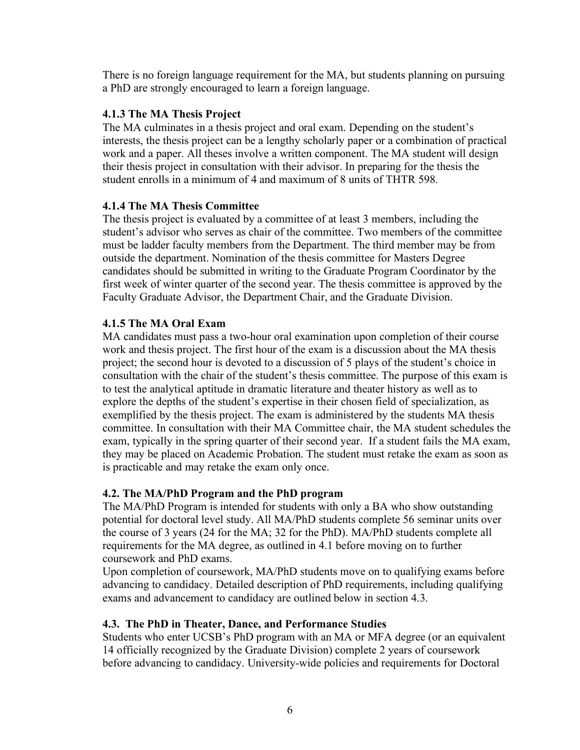There is no foreign language requirement for the MA, but students planning on pursuing a PhD are strongly encouraged to learn a foreign language.

### **4.1.3 The MA Thesis Project**

The MA culminates in a thesis project and oral exam. Depending on the student's interests, the thesis project can be a lengthy scholarly paper or a combination of practical work and a paper. All theses involve a written component. The MA student will design their thesis project in consultation with their advisor. In preparing for the thesis the student enrolls in a minimum of 4 and maximum of 8 units of THTR 598.

### **4.1.4 The MA Thesis Committee**

The thesis project is evaluated by a committee of at least 3 members, including the student's advisor who serves as chair of the committee. Two members of the committee must be ladder faculty members from the Department. The third member may be from outside the department. Nomination of the thesis committee for Masters Degree candidates should be submitted in writing to the Graduate Program Coordinator by the first week of winter quarter of the second year. The thesis committee is approved by the Faculty Graduate Advisor, the Department Chair, and the Graduate Division.

### **4.1.5 The MA Oral Exam**

MA candidates must pass a two-hour oral examination upon completion of their course work and thesis project. The first hour of the exam is a discussion about the MA thesis project; the second hour is devoted to a discussion of 5 plays of the student's choice in consultation with the chair of the student's thesis committee. The purpose of this exam is to test the analytical aptitude in dramatic literature and theater history as well as to explore the depths of the student's expertise in their chosen field of specialization, as exemplified by the thesis project. The exam is administered by the students MA thesis committee. In consultation with their MA Committee chair, the MA student schedules the exam, typically in the spring quarter of their second year. If a student fails the MA exam, they may be placed on Academic Probation. The student must retake the exam as soon as is practicable and may retake the exam only once.

## **4.2. The MA/PhD Program and the PhD program**

The MA/PhD Program is intended for students with only a BA who show outstanding potential for doctoral level study. All MA/PhD students complete 56 seminar units over the course of 3 years (24 for the MA; 32 for the PhD). MA/PhD students complete all requirements for the MA degree, as outlined in 4.1 before moving on to further coursework and PhD exams.

Upon completion of coursework, MA/PhD students move on to qualifying exams before advancing to candidacy. Detailed description of PhD requirements, including qualifying exams and advancement to candidacy are outlined below in section 4.3.

### **4.3. The PhD in Theater, Dance, and Performance Studies**

Students who enter UCSB's PhD program with an MA or MFA degree (or an equivalent 14 officially recognized by the Graduate Division) complete 2 years of coursework before advancing to candidacy. University-wide policies and requirements for Doctoral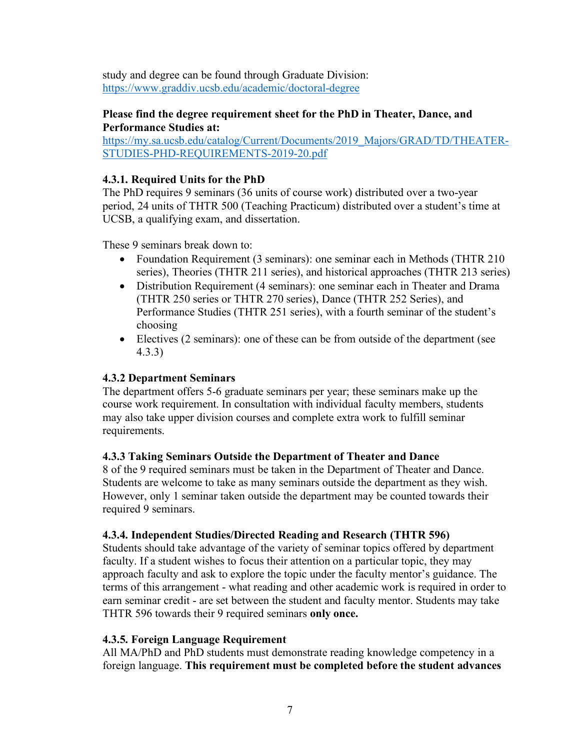study and degree can be found through Graduate Division: https://www.graddiv.ucsb.edu/academic/doctoral-degree

### **Please find the degree requirement sheet for the PhD in Theater, Dance, and Performance Studies at:**

https://my.sa.ucsb.edu/catalog/Current/Documents/2019\_Majors/GRAD/TD/THEATER-STUDIES-PHD-REQUIREMENTS-2019-20.pdf

### **4.3.1. Required Units for the PhD**

The PhD requires 9 seminars (36 units of course work) distributed over a two-year period, 24 units of THTR 500 (Teaching Practicum) distributed over a student's time at UCSB, a qualifying exam, and dissertation.

These 9 seminars break down to:

- Foundation Requirement (3 seminars): one seminar each in Methods (THTR 210 series), Theories (THTR 211 series), and historical approaches (THTR 213 series)
- Distribution Requirement (4 seminars): one seminar each in Theater and Drama (THTR 250 series or THTR 270 series), Dance (THTR 252 Series), and Performance Studies (THTR 251 series), with a fourth seminar of the student's choosing
- Electives (2 seminars): one of these can be from outside of the department (see 4.3.3)

## **4.3.2 Department Seminars**

The department offers 5-6 graduate seminars per year; these seminars make up the course work requirement. In consultation with individual faculty members, students may also take upper division courses and complete extra work to fulfill seminar requirements.

## **4.3.3 Taking Seminars Outside the Department of Theater and Dance**

8 of the 9 required seminars must be taken in the Department of Theater and Dance. Students are welcome to take as many seminars outside the department as they wish. However, only 1 seminar taken outside the department may be counted towards their required 9 seminars.

## **4.3.4. Independent Studies/Directed Reading and Research (THTR 596)**

Students should take advantage of the variety of seminar topics offered by department faculty. If a student wishes to focus their attention on a particular topic, they may approach faculty and ask to explore the topic under the faculty mentor's guidance. The terms of this arrangement - what reading and other academic work is required in order to earn seminar credit - are set between the student and faculty mentor. Students may take THTR 596 towards their 9 required seminars **only once.** 

### **4.3.5. Foreign Language Requirement**

All MA/PhD and PhD students must demonstrate reading knowledge competency in a foreign language. **This requirement must be completed before the student advances**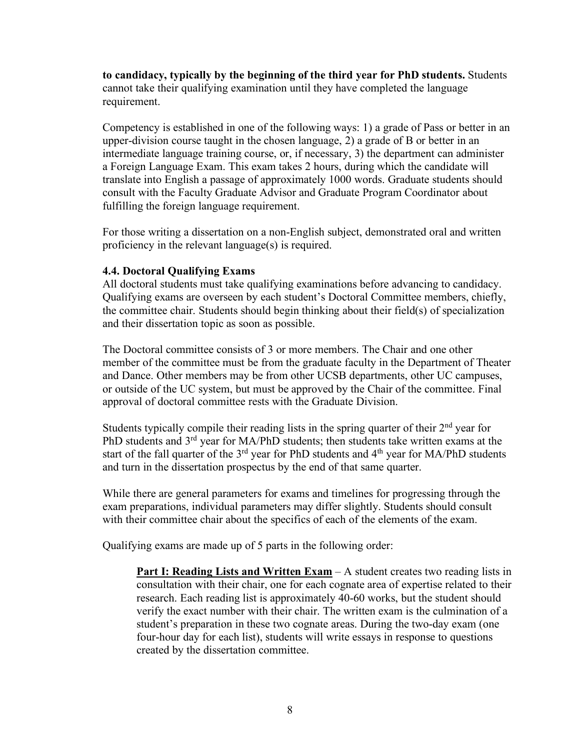**to candidacy, typically by the beginning of the third year for PhD students.** Students cannot take their qualifying examination until they have completed the language requirement.

Competency is established in one of the following ways: 1) a grade of Pass or better in an upper-division course taught in the chosen language, 2) a grade of B or better in an intermediate language training course, or, if necessary, 3) the department can administer a Foreign Language Exam. This exam takes 2 hours, during which the candidate will translate into English a passage of approximately 1000 words. Graduate students should consult with the Faculty Graduate Advisor and Graduate Program Coordinator about fulfilling the foreign language requirement.

For those writing a dissertation on a non-English subject, demonstrated oral and written proficiency in the relevant language(s) is required.

### **4.4. Doctoral Qualifying Exams**

All doctoral students must take qualifying examinations before advancing to candidacy. Qualifying exams are overseen by each student's Doctoral Committee members, chiefly, the committee chair. Students should begin thinking about their field(s) of specialization and their dissertation topic as soon as possible.

The Doctoral committee consists of 3 or more members. The Chair and one other member of the committee must be from the graduate faculty in the Department of Theater and Dance. Other members may be from other UCSB departments, other UC campuses, or outside of the UC system, but must be approved by the Chair of the committee. Final approval of doctoral committee rests with the Graduate Division.

Students typically compile their reading lists in the spring quarter of their 2<sup>nd</sup> year for PhD students and 3<sup>rd</sup> year for MA/PhD students; then students take written exams at the start of the fall quarter of the  $3<sup>rd</sup>$  year for PhD students and  $4<sup>th</sup>$  year for MA/PhD students and turn in the dissertation prospectus by the end of that same quarter.

While there are general parameters for exams and timelines for progressing through the exam preparations, individual parameters may differ slightly. Students should consult with their committee chair about the specifics of each of the elements of the exam.

Qualifying exams are made up of 5 parts in the following order:

**Part I: Reading Lists and Written Exam – A student creates two reading lists in** consultation with their chair, one for each cognate area of expertise related to their research. Each reading list is approximately 40-60 works, but the student should verify the exact number with their chair. The written exam is the culmination of a student's preparation in these two cognate areas. During the two-day exam (one four-hour day for each list), students will write essays in response to questions created by the dissertation committee.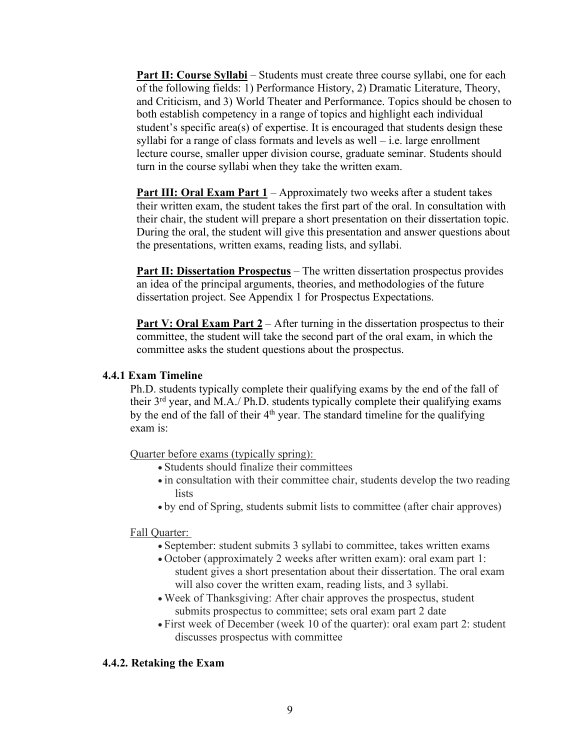**Part II: Course Syllabi** – Students must create three course syllabi, one for each of the following fields: 1) Performance History, 2) Dramatic Literature, Theory, and Criticism, and 3) World Theater and Performance. Topics should be chosen to both establish competency in a range of topics and highlight each individual student's specific area(s) of expertise. It is encouraged that students design these syllabi for a range of class formats and levels as well – i.e. large enrollment lecture course, smaller upper division course, graduate seminar. Students should turn in the course syllabi when they take the written exam.

**Part III: Oral Exam Part 1** – Approximately two weeks after a student takes their written exam, the student takes the first part of the oral. In consultation with their chair, the student will prepare a short presentation on their dissertation topic. During the oral, the student will give this presentation and answer questions about the presentations, written exams, reading lists, and syllabi.

**Part II: Dissertation Prospectus** – The written dissertation prospectus provides an idea of the principal arguments, theories, and methodologies of the future dissertation project. See Appendix 1 for Prospectus Expectations.

**Part V: Oral Exam Part 2** – After turning in the dissertation prospectus to their committee, the student will take the second part of the oral exam, in which the committee asks the student questions about the prospectus.

### **4.4.1 Exam Timeline**

Ph.D. students typically complete their qualifying exams by the end of the fall of their 3rd year, and M.A./ Ph.D. students typically complete their qualifying exams by the end of the fall of their 4<sup>th</sup> year. The standard timeline for the qualifying exam is:

Quarter before exams (typically spring):

- Students should finalize their committees
- in consultation with their committee chair, students develop the two reading lists
- by end of Spring, students submit lists to committee (after chair approves)

#### Fall Quarter:

- September: student submits 3 syllabi to committee, takes written exams
- October (approximately 2 weeks after written exam): oral exam part 1: student gives a short presentation about their dissertation. The oral exam will also cover the written exam, reading lists, and 3 syllabi.
- Week of Thanksgiving: After chair approves the prospectus, student submits prospectus to committee; sets oral exam part 2 date
- First week of December (week 10 of the quarter): oral exam part 2: student discusses prospectus with committee

### **4.4.2. Retaking the Exam**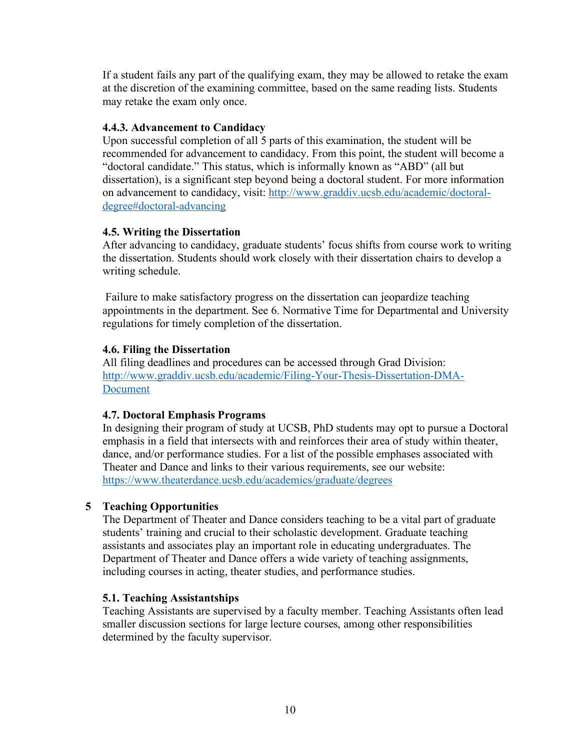If a student fails any part of the qualifying exam, they may be allowed to retake the exam at the discretion of the examining committee, based on the same reading lists. Students may retake the exam only once.

## **4.4.3. Advancement to Candidacy**

Upon successful completion of all 5 parts of this examination, the student will be recommended for advancement to candidacy. From this point, the student will become a "doctoral candidate." This status, which is informally known as "ABD" (all but dissertation), is a significant step beyond being a doctoral student. For more information on advancement to candidacy, visit: http://www.graddiv.ucsb.edu/academic/doctoraldegree#doctoral-advancing

### **4.5. Writing the Dissertation**

After advancing to candidacy, graduate students' focus shifts from course work to writing the dissertation. Students should work closely with their dissertation chairs to develop a writing schedule.

Failure to make satisfactory progress on the dissertation can jeopardize teaching appointments in the department. See 6. Normative Time for Departmental and University regulations for timely completion of the dissertation.

### **4.6. Filing the Dissertation**

All filing deadlines and procedures can be accessed through Grad Division: http://www.graddiv.ucsb.edu/academic/Filing-Your-Thesis-Dissertation-DMA-Document

### **4.7. Doctoral Emphasis Programs**

In designing their program of study at UCSB, PhD students may opt to pursue a Doctoral emphasis in a field that intersects with and reinforces their area of study within theater, dance, and/or performance studies. For a list of the possible emphases associated with Theater and Dance and links to their various requirements, see our website: https://www.theaterdance.ucsb.edu/academics/graduate/degrees

## **5 Teaching Opportunities**

The Department of Theater and Dance considers teaching to be a vital part of graduate students' training and crucial to their scholastic development. Graduate teaching assistants and associates play an important role in educating undergraduates. The Department of Theater and Dance offers a wide variety of teaching assignments, including courses in acting, theater studies, and performance studies.

### **5.1. Teaching Assistantships**

Teaching Assistants are supervised by a faculty member. Teaching Assistants often lead smaller discussion sections for large lecture courses, among other responsibilities determined by the faculty supervisor.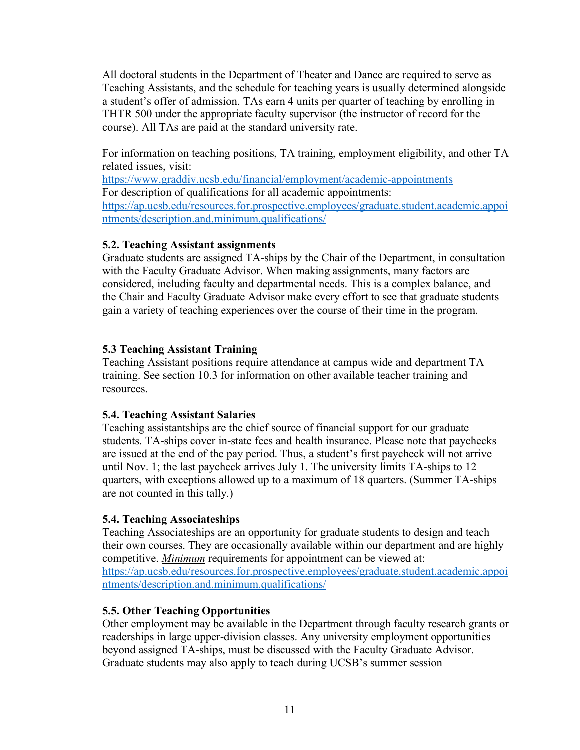All doctoral students in the Department of Theater and Dance are required to serve as Teaching Assistants, and the schedule for teaching years is usually determined alongside a student's offer of admission. TAs earn 4 units per quarter of teaching by enrolling in THTR 500 under the appropriate faculty supervisor (the instructor of record for the course). All TAs are paid at the standard university rate.

For information on teaching positions, TA training, employment eligibility, and other TA related issues, visit:

https://www.graddiv.ucsb.edu/financial/employment/academic-appointments For description of qualifications for all academic appointments: https://ap.ucsb.edu/resources.for.prospective.employees/graduate.student.academic.appoi ntments/description.and.minimum.qualifications/

### **5.2. Teaching Assistant assignments**

Graduate students are assigned TA-ships by the Chair of the Department, in consultation with the Faculty Graduate Advisor. When making assignments, many factors are considered, including faculty and departmental needs. This is a complex balance, and the Chair and Faculty Graduate Advisor make every effort to see that graduate students gain a variety of teaching experiences over the course of their time in the program.

## **5.3 Teaching Assistant Training**

Teaching Assistant positions require attendance at campus wide and department TA training. See section 10.3 for information on other available teacher training and resources.

### **5.4. Teaching Assistant Salaries**

Teaching assistantships are the chief source of financial support for our graduate students. TA-ships cover in-state fees and health insurance. Please note that paychecks are issued at the end of the pay period. Thus, a student's first paycheck will not arrive until Nov. 1; the last paycheck arrives July 1. The university limits TA-ships to 12 quarters, with exceptions allowed up to a maximum of 18 quarters. (Summer TA-ships are not counted in this tally.)

## **5.4. Teaching Associateships**

Teaching Associateships are an opportunity for graduate students to design and teach their own courses. They are occasionally available within our department and are highly competitive. *Minimum* requirements for appointment can be viewed at: https://ap.ucsb.edu/resources.for.prospective.employees/graduate.student.academic.appoi ntments/description.and.minimum.qualifications/

## **5.5. Other Teaching Opportunities**

Other employment may be available in the Department through faculty research grants or readerships in large upper-division classes. Any university employment opportunities beyond assigned TA-ships, must be discussed with the Faculty Graduate Advisor. Graduate students may also apply to teach during UCSB's summer session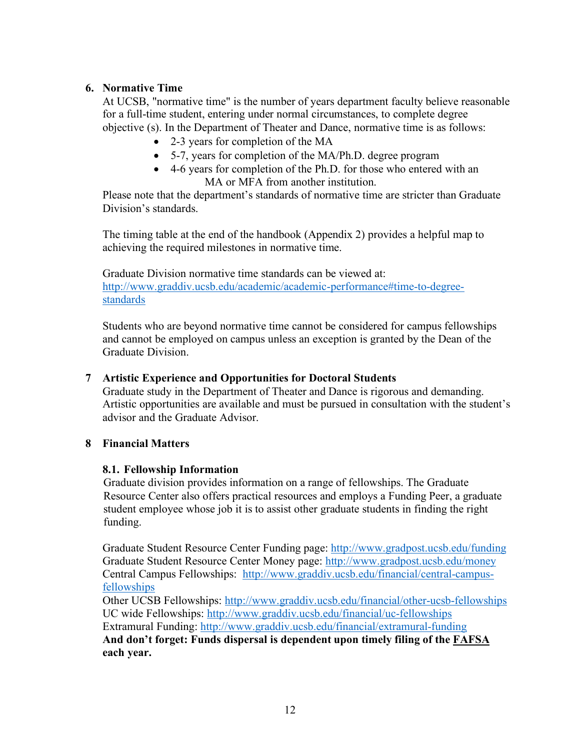## **6. Normative Time**

At UCSB, "normative time" is the number of years department faculty believe reasonable for a full-time student, entering under normal circumstances, to complete degree objective (s). In the Department of Theater and Dance, normative time is as follows:

- 2-3 years for completion of the MA
- 5-7, years for completion of the MA/Ph.D. degree program
- 4-6 years for completion of the Ph.D. for those who entered with an MA or MFA from another institution.

Please note that the department's standards of normative time are stricter than Graduate Division's standards.

The timing table at the end of the handbook (Appendix 2) provides a helpful map to achieving the required milestones in normative time.

Graduate Division normative time standards can be viewed at: http://www.graddiv.ucsb.edu/academic/academic-performance#time-to-degreestandards

Students who are beyond normative time cannot be considered for campus fellowships and cannot be employed on campus unless an exception is granted by the Dean of the Graduate Division.

### **7 Artistic Experience and Opportunities for Doctoral Students**

Graduate study in the Department of Theater and Dance is rigorous and demanding. Artistic opportunities are available and must be pursued in consultation with the student's advisor and the Graduate Advisor.

### **8 Financial Matters**

### **8.1. Fellowship Information**

Graduate division provides information on a range of fellowships. The Graduate Resource Center also offers practical resources and employs a Funding Peer, a graduate student employee whose job it is to assist other graduate students in finding the right funding.

Graduate Student Resource Center Funding page: http://www.gradpost.ucsb.edu/funding Graduate Student Resource Center Money page: http://www.gradpost.ucsb.edu/money Central Campus Fellowships:http://www.graddiv.ucsb.edu/financial/central-campusfellowships

Other UCSB Fellowships: http://www.graddiv.ucsb.edu/financial/other-ucsb-fellowships UC wide Fellowships: http://www.graddiv.ucsb.edu/financial/uc-fellowships Extramural Funding: http://www.graddiv.ucsb.edu/financial/extramural-funding **And don't forget: Funds dispersal is dependent upon timely filing of the FAFSA each year.**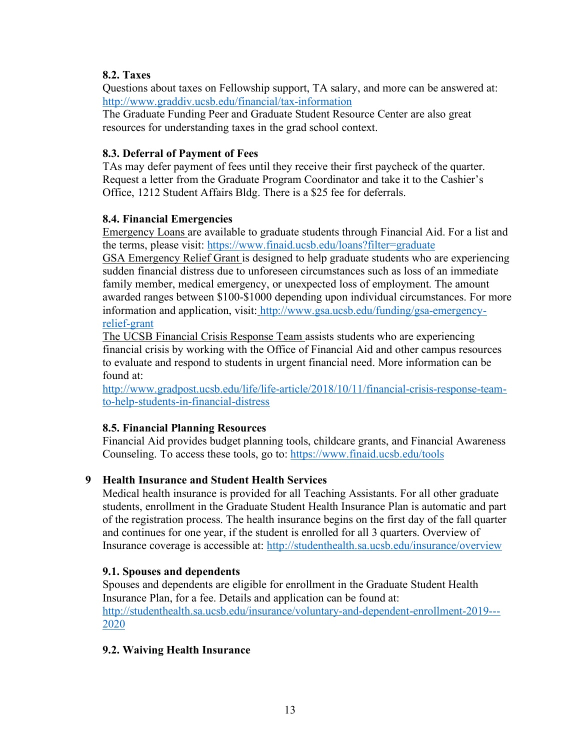## **8.2. Taxes**

Questions about taxes on Fellowship support, TA salary, and more can be answered at: http://www.graddiv.ucsb.edu/financial/tax-information

The Graduate Funding Peer and Graduate Student Resource Center are also great resources for understanding taxes in the grad school context.

## **8.3. Deferral of Payment of Fees**

TAs may defer payment of fees until they receive their first paycheck of the quarter. Request a letter from the Graduate Program Coordinator and take it to the Cashier's Office, 1212 Student Affairs Bldg. There is a \$25 fee for deferrals.

## **8.4. Financial Emergencies**

Emergency Loans are available to graduate students through Financial Aid. For a list and the terms, please visit: https://www.finaid.ucsb.edu/loans?filter=graduate

GSA Emergency Relief Grant is designed to help graduate students who are experiencing sudden financial distress due to unforeseen circumstances such as loss of an immediate family member, medical emergency, or unexpected loss of employment. The amount awarded ranges between \$100-\$1000 depending upon individual circumstances. For more information and application, visit: http://www.gsa.ucsb.edu/funding/gsa-emergencyrelief-grant

The UCSB Financial Crisis Response Team assists students who are experiencing financial crisis by working with the Office of Financial Aid and other campus resources to evaluate and respond to students in urgent financial need. More information can be found at:

http://www.gradpost.ucsb.edu/life/life-article/2018/10/11/financial-crisis-response-teamto-help-students-in-financial-distress

## **8.5. Financial Planning Resources**

Financial Aid provides budget planning tools, childcare grants, and Financial Awareness Counseling. To access these tools, go to: https://www.finaid.ucsb.edu/tools

# **9 Health Insurance and Student Health Services**

Medical health insurance is provided for all Teaching Assistants. For all other graduate students, enrollment in the Graduate Student Health Insurance Plan is automatic and part of the registration process. The health insurance begins on the first day of the fall quarter and continues for one year, if the student is enrolled for all 3 quarters. Overview of Insurance coverage is accessible at: http://studenthealth.sa.ucsb.edu/insurance/overview

## **9.1. Spouses and dependents**

Spouses and dependents are eligible for enrollment in the Graduate Student Health Insurance Plan, for a fee. Details and application can be found at: http://studenthealth.sa.ucsb.edu/insurance/voluntary-and-dependent-enrollment-2019--- 2020

## **9.2. Waiving Health Insurance**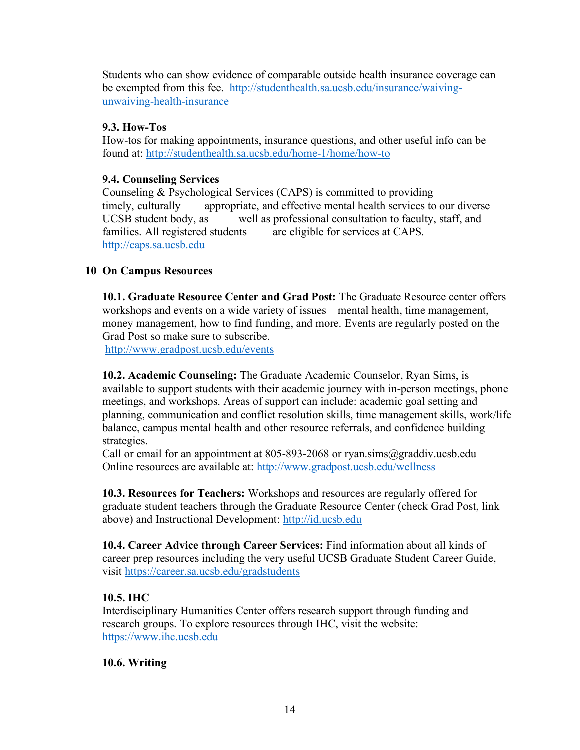Students who can show evidence of comparable outside health insurance coverage can be exempted from this fee. http://studenthealth.sa.ucsb.edu/insurance/waivingunwaiving-health-insurance

## **9.3. How-Tos**

How-tos for making appointments, insurance questions, and other useful info can be found at: http://studenthealth.sa.ucsb.edu/home-1/home/how-to

## **9.4. Counseling Services**

Counseling & Psychological Services (CAPS) is committed to providing timely, culturally appropriate, and effective mental health services to our diverse UCSB student body, as well as professional consultation to faculty, staff, and families. All registered students are eligible for services at CAPS. http://caps.sa.ucsb.edu

## **10 On Campus Resources**

**10.1. Graduate Resource Center and Grad Post:** The Graduate Resource center offers workshops and events on a wide variety of issues – mental health, time management, money management, how to find funding, and more. Events are regularly posted on the Grad Post so make sure to subscribe.

http://www.gradpost.ucsb.edu/events

**10.2. Academic Counseling:** The Graduate Academic Counselor, Ryan Sims, is available to support students with their academic journey with in-person meetings, phone meetings, and workshops. Areas of support can include: academic goal setting and planning, communication and conflict resolution skills, time management skills, work/life balance, campus mental health and other resource referrals, and confidence building strategies.

Call or email for an appointment at 805-893-2068 or ryan.sims@graddiv.ucsb.edu Online resources are available at: http://www.gradpost.ucsb.edu/wellness

**10.3. Resources for Teachers:** Workshops and resources are regularly offered for graduate student teachers through the Graduate Resource Center (check Grad Post, link above) and Instructional Development: http://id.ucsb.edu

**10.4. Career Advice through Career Services:** Find information about all kinds of career prep resources including the very useful UCSB Graduate Student Career Guide, visit https://career.sa.ucsb.edu/gradstudents

# **10.5. IHC**

Interdisciplinary Humanities Center offers research support through funding and research groups. To explore resources through IHC, visit the website: https://www.ihc.ucsb.edu

## **10.6. Writing**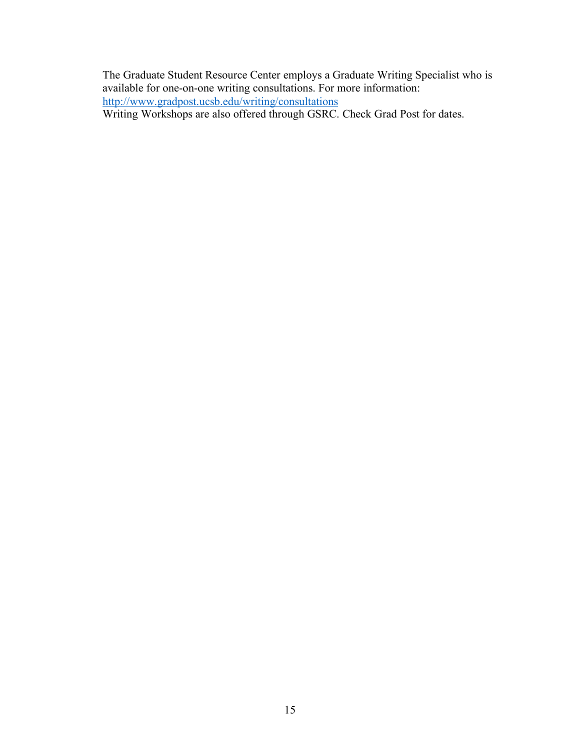The Graduate Student Resource Center employs a Graduate Writing Specialist who is available for one-on-one writing consultations. For more information: http://www.gradpost.ucsb.edu/writing/consultations

Writing Workshops are also offered through GSRC. Check Grad Post for dates.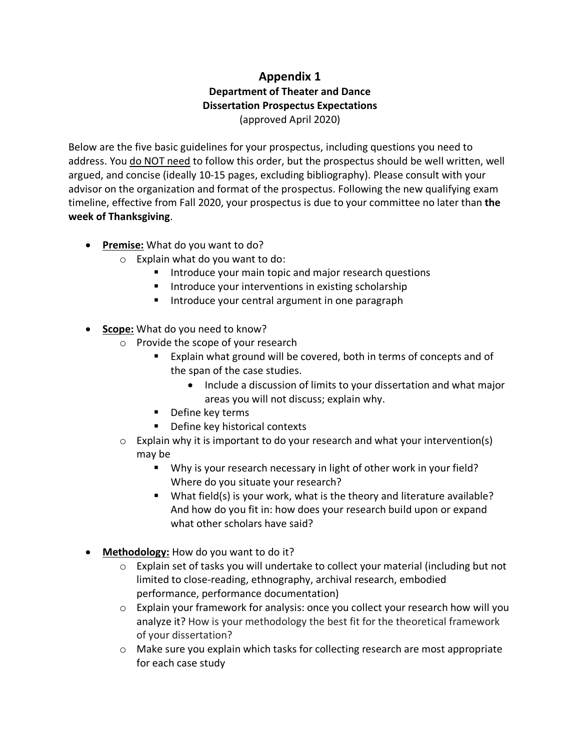# **Appendix 1 Department of Theater and Dance Dissertation Prospectus Expectations** (approved April 2020)

Below are the five basic guidelines for your prospectus, including questions you need to address. You do NOT need to follow this order, but the prospectus should be well written, well argued, and concise (ideally 10-15 pages, excluding bibliography). Please consult with your advisor on the organization and format of the prospectus. Following the new qualifying exam timeline, effective from Fall 2020, your prospectus is due to your committee no later than **the week of Thanksgiving**.

- **Premise:** What do you want to do?
	- $\circ$  Explain what do you want to do:
		- Introduce your main topic and major research questions
		- Introduce your interventions in existing scholarship
		- Introduce your central argument in one paragraph
- **Scope:** What do you need to know?
	- o Provide the scope of your research
		- Explain what ground will be covered, both in terms of concepts and of the span of the case studies.
			- Include a discussion of limits to your dissertation and what major areas you will not discuss; explain why.
		- Define key terms
		- Define key historical contexts
	- $\circ$  Explain why it is important to do your research and what your intervention(s) may be
		- Why is your research necessary in light of other work in your field? Where do you situate your research?
		- What field(s) is your work, what is the theory and literature available? And how do you fit in: how does your research build upon or expand what other scholars have said?
- **Methodology:** How do you want to do it?
	- $\circ$  Explain set of tasks you will undertake to collect your material (including but not limited to close-reading, ethnography, archival research, embodied performance, performance documentation)
	- $\circ$  Explain your framework for analysis: once you collect your research how will you analyze it? How is your methodology the best fit for the theoretical framework of your dissertation?
	- o Make sure you explain which tasks for collecting research are most appropriate for each case study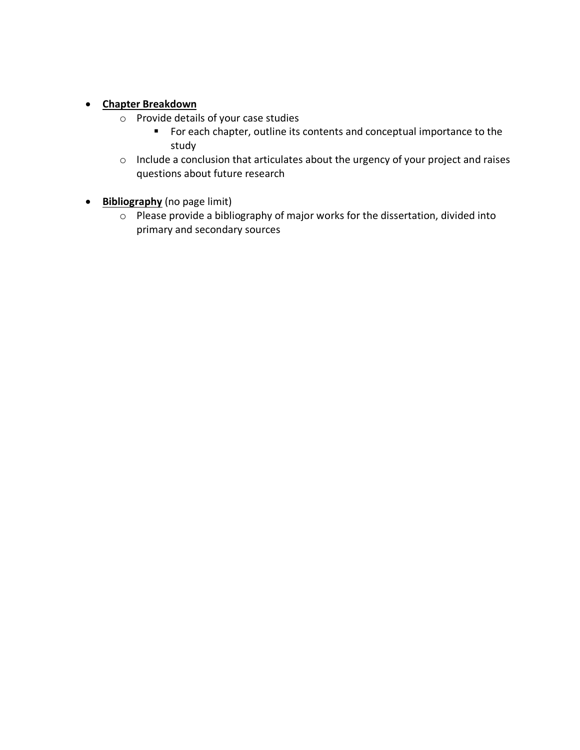## • **Chapter Breakdown**

- o Provide details of your case studies
	- For each chapter, outline its contents and conceptual importance to the study
- o Include a conclusion that articulates about the urgency of your project and raises questions about future research
- **Bibliography** (no page limit)
	- o Please provide a bibliography of major works for the dissertation, divided into primary and secondary sources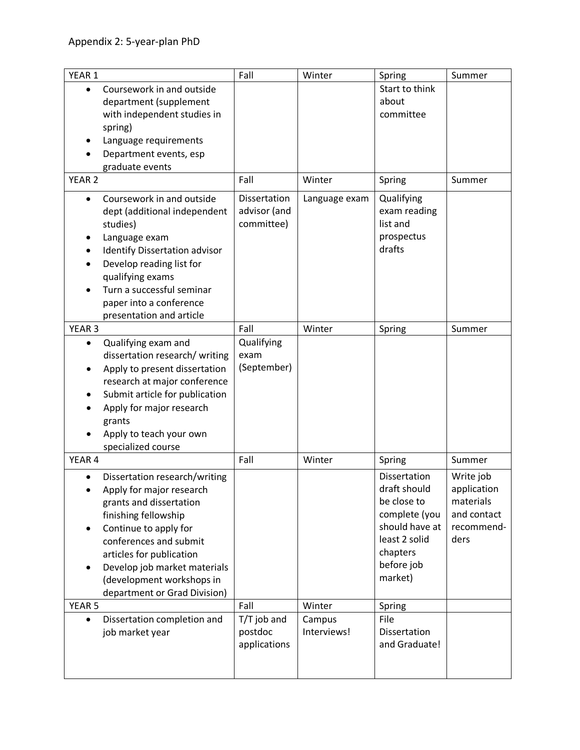| YEAR 1            |                                | Fall         | Winter        | Spring         | Summer      |
|-------------------|--------------------------------|--------------|---------------|----------------|-------------|
| $\bullet$         | Coursework in and outside      |              |               | Start to think |             |
|                   | department (supplement         |              |               | about          |             |
|                   | with independent studies in    |              |               | committee      |             |
|                   | spring)                        |              |               |                |             |
|                   | Language requirements          |              |               |                |             |
|                   | Department events, esp         |              |               |                |             |
|                   | graduate events                |              |               |                |             |
| YEAR <sub>2</sub> |                                | Fall         | Winter        | Spring         | Summer      |
|                   | Coursework in and outside      | Dissertation | Language exam | Qualifying     |             |
|                   | dept (additional independent   | advisor (and |               | exam reading   |             |
|                   | studies)                       | committee)   |               | list and       |             |
|                   | Language exam                  |              |               | prospectus     |             |
|                   | Identify Dissertation advisor  |              |               | drafts         |             |
|                   | Develop reading list for       |              |               |                |             |
|                   | qualifying exams               |              |               |                |             |
|                   | Turn a successful seminar      |              |               |                |             |
|                   | paper into a conference        |              |               |                |             |
|                   | presentation and article       |              |               |                |             |
| YEAR <sub>3</sub> |                                | Fall         | Winter        | Spring         | Summer      |
| $\bullet$         | Qualifying exam and            | Qualifying   |               |                |             |
|                   | dissertation research/ writing | exam         |               |                |             |
|                   | Apply to present dissertation  | (September)  |               |                |             |
|                   | research at major conference   |              |               |                |             |
|                   | Submit article for publication |              |               |                |             |
|                   | Apply for major research       |              |               |                |             |
|                   | grants                         |              |               |                |             |
|                   | Apply to teach your own        |              |               |                |             |
|                   | specialized course             |              |               |                |             |
| YEAR 4            |                                | Fall         | Winter        | Spring         | Summer      |
|                   | Dissertation research/writing  |              |               | Dissertation   | Write job   |
|                   | Apply for major research       |              |               | draft should   | application |
|                   | grants and dissertation        |              |               | be close to    | materials   |
|                   | finishing fellowship           |              |               | complete (you  | and contact |
|                   | Continue to apply for          |              |               | should have at | recommend-  |
|                   | conferences and submit         |              |               | least 2 solid  | ders        |
|                   | articles for publication       |              |               | chapters       |             |
|                   | Develop job market materials   |              |               | before job     |             |
|                   | (development workshops in      |              |               | market)        |             |
|                   | department or Grad Division)   |              |               |                |             |
| YEAR <sub>5</sub> |                                | Fall         | Winter        | Spring         |             |
|                   | Dissertation completion and    | T/T job and  | Campus        | File           |             |
|                   | job market year                | postdoc      | Interviews!   | Dissertation   |             |
|                   |                                | applications |               | and Graduate!  |             |
|                   |                                |              |               |                |             |
|                   |                                |              |               |                |             |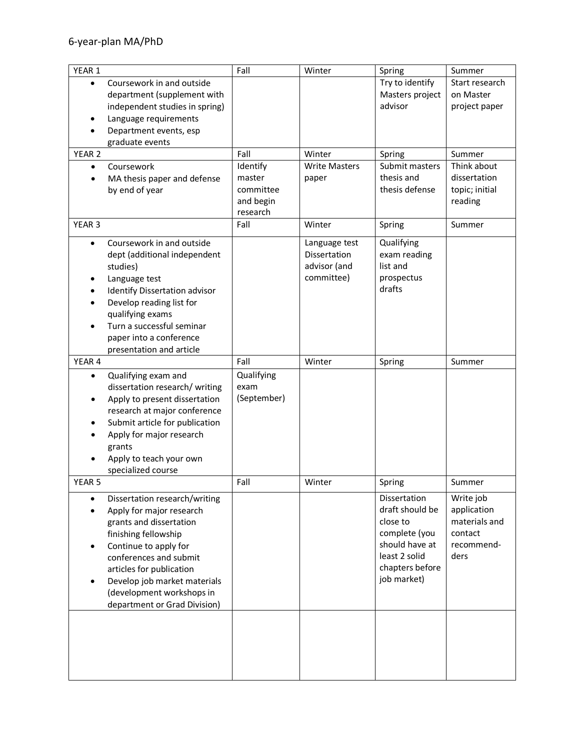| YEAR 1                                                                                                                                                                                                                                                                                                | Fall                                                     | Winter                                                             | Spring                                                                                                                            | Summer                                                                     |
|-------------------------------------------------------------------------------------------------------------------------------------------------------------------------------------------------------------------------------------------------------------------------------------------------------|----------------------------------------------------------|--------------------------------------------------------------------|-----------------------------------------------------------------------------------------------------------------------------------|----------------------------------------------------------------------------|
| Coursework in and outside<br>$\bullet$<br>department (supplement with<br>independent studies in spring)<br>Language requirements<br>Department events, esp<br>graduate events                                                                                                                         |                                                          |                                                                    | Try to identify<br>Masters project<br>advisor                                                                                     | Start research<br>on Master<br>project paper                               |
| YEAR 2                                                                                                                                                                                                                                                                                                | Fall                                                     | Winter                                                             | Spring                                                                                                                            | Summer                                                                     |
| Coursework<br>$\bullet$<br>MA thesis paper and defense<br>٠<br>by end of year                                                                                                                                                                                                                         | Identify<br>master<br>committee<br>and begin<br>research | <b>Write Masters</b><br>paper                                      | Submit masters<br>thesis and<br>thesis defense                                                                                    | Think about<br>dissertation<br>topic; initial<br>reading                   |
| YEAR <sub>3</sub>                                                                                                                                                                                                                                                                                     | Fall                                                     | Winter                                                             | Spring                                                                                                                            | Summer                                                                     |
| Coursework in and outside<br>$\bullet$<br>dept (additional independent<br>studies)<br>Language test<br>Identify Dissertation advisor<br>Develop reading list for<br>qualifying exams<br>Turn a successful seminar<br>paper into a conference<br>presentation and article                              |                                                          | Language test<br><b>Dissertation</b><br>advisor (and<br>committee) | Qualifying<br>exam reading<br>list and<br>prospectus<br>drafts                                                                    |                                                                            |
| YEAR 4                                                                                                                                                                                                                                                                                                | Fall                                                     | Winter                                                             | Spring                                                                                                                            | Summer                                                                     |
| Qualifying exam and<br>$\bullet$<br>dissertation research/ writing<br>Apply to present dissertation<br>$\bullet$<br>research at major conference<br>Submit article for publication<br>Apply for major research<br>grants<br>Apply to teach your own<br>specialized course                             | Qualifying<br>exam<br>(September)                        |                                                                    |                                                                                                                                   |                                                                            |
| YEAR <sub>5</sub>                                                                                                                                                                                                                                                                                     | Fall                                                     | Winter                                                             | Spring                                                                                                                            | Summer                                                                     |
| Dissertation research/writing<br>$\bullet$<br>Apply for major research<br>grants and dissertation<br>finishing fellowship<br>Continue to apply for<br>conferences and submit<br>articles for publication<br>Develop job market materials<br>(development workshops in<br>department or Grad Division) |                                                          |                                                                    | Dissertation<br>draft should be<br>close to<br>complete (you<br>should have at<br>least 2 solid<br>chapters before<br>job market) | Write job<br>application<br>materials and<br>contact<br>recommend-<br>ders |
|                                                                                                                                                                                                                                                                                                       |                                                          |                                                                    |                                                                                                                                   |                                                                            |